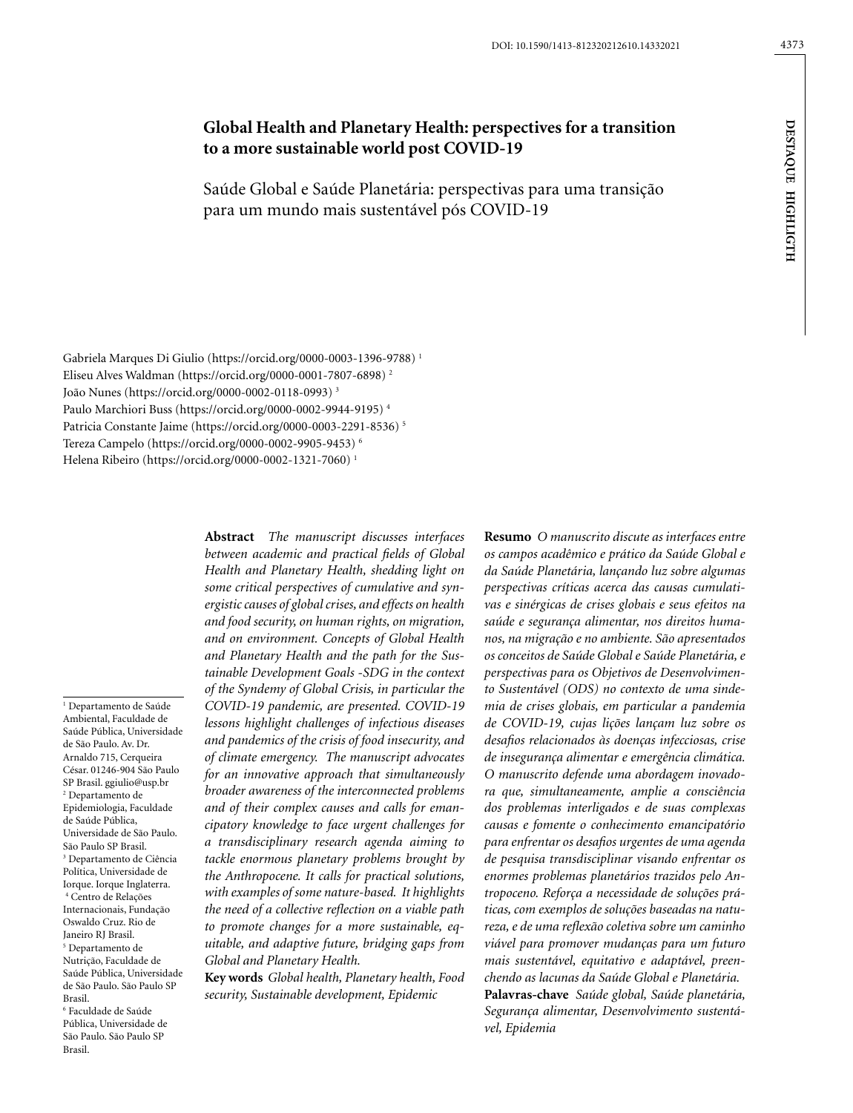# **Global Health and Planetary Health: perspectives for a transition to a more sustainable world post COVID-19**

Saúde Global e Saúde Planetária: perspectivas para uma transição para um mundo mais sustentável pós COVID-19

Gabriela Marques Di Giulio (https://orcid.org/0000-0003-1396-9788) 1 Eliseu Alves Waldman (https://orcid.org/0000-0001-7807-6898) 2 João Nunes (https://orcid.org/0000-0002-0118-0993) 3 Paulo Marchiori Buss (https://orcid.org/0000-0002-9944-9195) 4 Patricia Constante Jaime (https://orcid.org/0000-0003-2291-8536) 5 Tereza Campelo (https://orcid.org/0000-0002-9905-9453) 6 Helena Ribeiro (https://orcid.org/0000-0002-1321-7060) 1

1 Departamento de Saúde Ambiental, Faculdade de Saúde Pública, Universidade de São Paulo. Av. Dr. Arnaldo 715, Cerqueira César. 01246-904 São Paulo SP Brasil. ggiulio@usp.br 2 Departamento de Epidemiologia, Faculdade de Saúde Pública, Universidade de São Paulo. São Paulo SP Brasil. 3 Departamento de Ciência Política, Universidade de Iorque. Iorque Inglaterra. 4 Centro de Relações Internacionais, Fundação Oswaldo Cruz. Rio de Janeiro RJ Brasil. 5 Departamento de Nutrição, Faculdade de Saúde Pública, Universidade de São Paulo. São Paulo SP Brasil. 6 Faculdade de Saúde Pública, Universidade de São Paulo. São Paulo SP Brasil.

**Abstract** *The manuscript discusses interfaces between academic and practical fields of Global Health and Planetary Health, shedding light on some critical perspectives of cumulative and synergistic causes of global crises, and effects on health and food security, on human rights, on migration, and on environment. Concepts of Global Health and Planetary Health and the path for the Sustainable Development Goals -SDG in the context of the Syndemy of Global Crisis, in particular the COVID-19 pandemic, are presented. COVID-19 lessons highlight challenges of infectious diseases and pandemics of the crisis of food insecurity, and of climate emergency. The manuscript advocates for an innovative approach that simultaneously broader awareness of the interconnected problems and of their complex causes and calls for emancipatory knowledge to face urgent challenges for a transdisciplinary research agenda aiming to tackle enormous planetary problems brought by the Anthropocene. It calls for practical solutions, with examples of some nature-based. It highlights the need of a collective reflection on a viable path to promote changes for a more sustainable, equitable, and adaptive future, bridging gaps from Global and Planetary Health.* 

**Key words** *Global health, Planetary health, Food security, Sustainable development, Epidemic*

**Resumo** *O manuscrito discute as interfaces entre os campos acadêmico e prático da Saúde Global e da Saúde Planetária, lançando luz sobre algumas perspectivas críticas acerca das causas cumulativas e sinérgicas de crises globais e seus efeitos na saúde e segurança alimentar, nos direitos humanos, na migração e no ambiente. São apresentados os conceitos de Saúde Global e Saúde Planetária, e perspectivas para os Objetivos de Desenvolvimento Sustentável (ODS) no contexto de uma sindemia de crises globais, em particular a pandemia de COVID-19, cujas lições lançam luz sobre os desafios relacionados às doenças infecciosas, crise de insegurança alimentar e emergência climática. O manuscrito defende uma abordagem inovadora que, simultaneamente, amplie a consciência dos problemas interligados e de suas complexas causas e fomente o conhecimento emancipatório para enfrentar os desafios urgentes de uma agenda de pesquisa transdisciplinar visando enfrentar os enormes problemas planetários trazidos pelo Antropoceno. Reforça a necessidade de soluções práticas, com exemplos de soluções baseadas na natureza, e de uma reflexão coletiva sobre um caminho viável para promover mudanças para um futuro mais sustentável, equitativo e adaptável, preenchendo as lacunas da Saúde Global e Planetária.* **Palavras-chave** *Saúde global, Saúde planetária, Segurança alimentar, Desenvolvimento sustentável, Epidemia*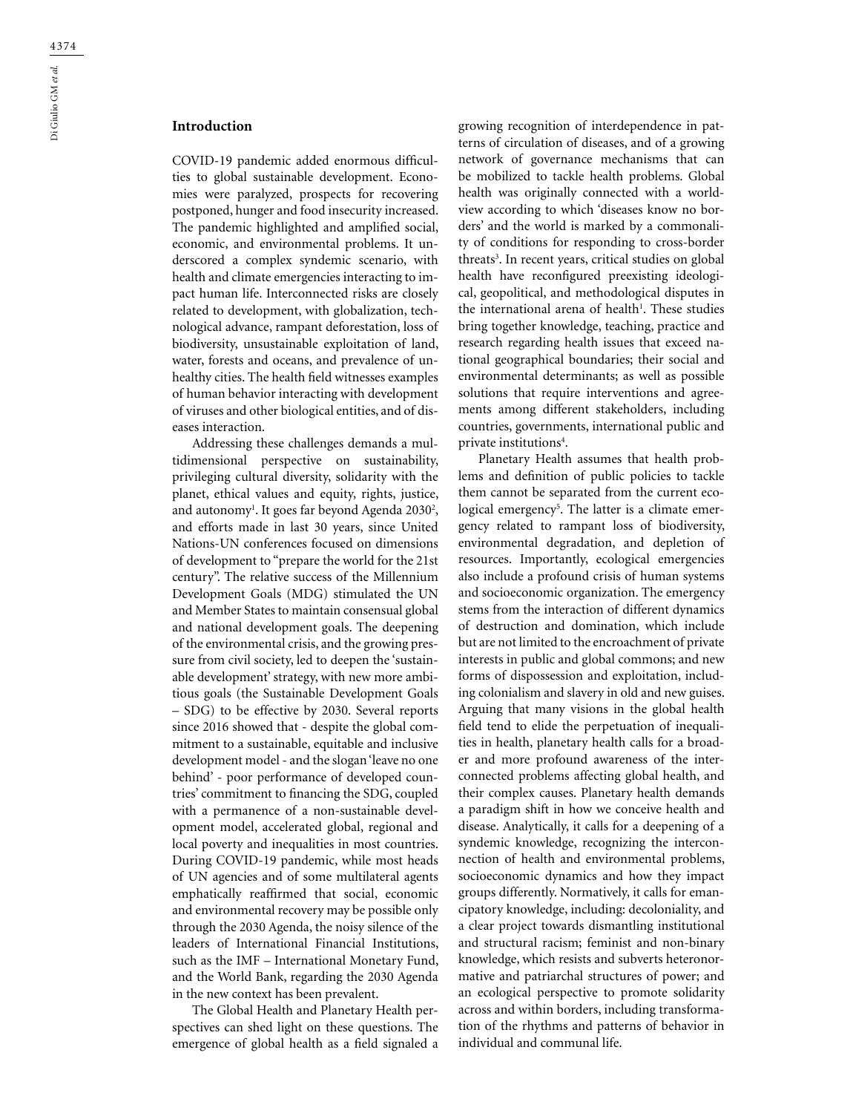COVID-19 pandemic added enormous difficulties to global sustainable development. Economies were paralyzed, prospects for recovering postponed, hunger and food insecurity increased. The pandemic highlighted and amplified social, economic, and environmental problems. It underscored a complex syndemic scenario, with health and climate emergencies interacting to impact human life. Interconnected risks are closely related to development, with globalization, technological advance, rampant deforestation, loss of biodiversity, unsustainable exploitation of land, water, forests and oceans, and prevalence of unhealthy cities. The health field witnesses examples of human behavior interacting with development of viruses and other biological entities, and of diseases interaction.

Addressing these challenges demands a multidimensional perspective on sustainability, privileging cultural diversity, solidarity with the planet, ethical values and equity, rights, justice, and autonomy<sup>1</sup>. It goes far beyond Agenda 2030<sup>2</sup>, and efforts made in last 30 years, since United Nations-UN conferences focused on dimensions of development to "prepare the world for the 21st century". The relative success of the Millennium Development Goals (MDG) stimulated the UN and Member States to maintain consensual global and national development goals. The deepening of the environmental crisis, and the growing pressure from civil society, led to deepen the 'sustainable development' strategy, with new more ambitious goals (the Sustainable Development Goals – SDG) to be effective by 2030. Several reports since 2016 showed that - despite the global commitment to a sustainable, equitable and inclusive development model - and the slogan 'leave no one behind' - poor performance of developed countries' commitment to financing the SDG, coupled with a permanence of a non-sustainable development model, accelerated global, regional and local poverty and inequalities in most countries. During COVID-19 pandemic, while most heads of UN agencies and of some multilateral agents emphatically reaffirmed that social, economic and environmental recovery may be possible only through the 2030 Agenda, the noisy silence of the leaders of International Financial Institutions, such as the IMF – International Monetary Fund, and the World Bank, regarding the 2030 Agenda in the new context has been prevalent.

The Global Health and Planetary Health perspectives can shed light on these questions. The emergence of global health as a field signaled a growing recognition of interdependence in patterns of circulation of diseases, and of a growing network of governance mechanisms that can be mobilized to tackle health problems. Global health was originally connected with a worldview according to which 'diseases know no borders' and the world is marked by a commonality of conditions for responding to cross-border threats<sup>3</sup>. In recent years, critical studies on global health have reconfigured preexisting ideological, geopolitical, and methodological disputes in the international arena of health<sup>1</sup>. These studies bring together knowledge, teaching, practice and research regarding health issues that exceed national geographical boundaries; their social and environmental determinants; as well as possible solutions that require interventions and agreements among different stakeholders, including countries, governments, international public and private institutions<sup>4</sup>.

Planetary Health assumes that health problems and definition of public policies to tackle them cannot be separated from the current ecological emergency<sup>5</sup>. The latter is a climate emergency related to rampant loss of biodiversity, environmental degradation, and depletion of resources. Importantly, ecological emergencies also include a profound crisis of human systems and socioeconomic organization. The emergency stems from the interaction of different dynamics of destruction and domination, which include but are not limited to the encroachment of private interests in public and global commons; and new forms of dispossession and exploitation, including colonialism and slavery in old and new guises. Arguing that many visions in the global health field tend to elide the perpetuation of inequalities in health, planetary health calls for a broader and more profound awareness of the interconnected problems affecting global health, and their complex causes. Planetary health demands a paradigm shift in how we conceive health and disease. Analytically, it calls for a deepening of a syndemic knowledge, recognizing the interconnection of health and environmental problems, socioeconomic dynamics and how they impact groups differently. Normatively, it calls for emancipatory knowledge, including: decoloniality, and a clear project towards dismantling institutional and structural racism; feminist and non-binary knowledge, which resists and subverts heteronormative and patriarchal structures of power; and an ecological perspective to promote solidarity across and within borders, including transformation of the rhythms and patterns of behavior in individual and communal life.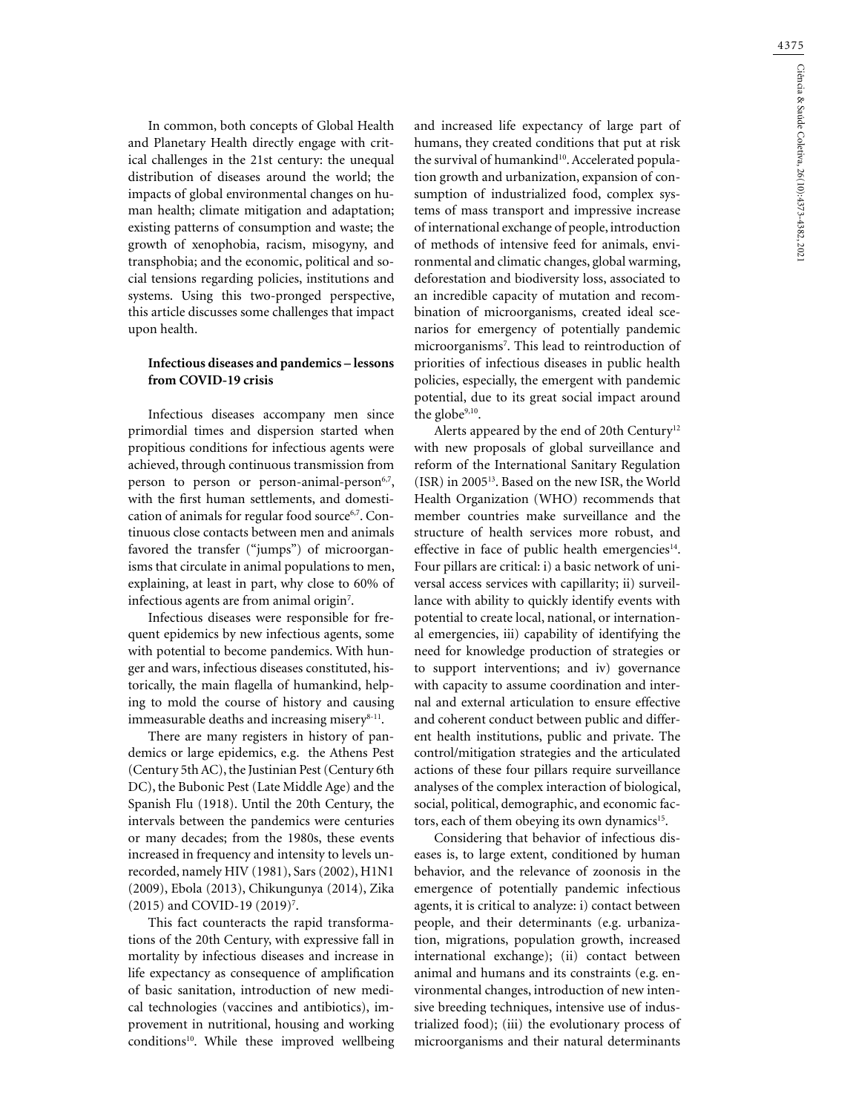In common, both concepts of Global Health and Planetary Health directly engage with critical challenges in the 21st century: the unequal distribution of diseases around the world; the impacts of global environmental changes on human health; climate mitigation and adaptation; existing patterns of consumption and waste; the growth of xenophobia, racism, misogyny, and transphobia; and the economic, political and social tensions regarding policies, institutions and systems. Using this two-pronged perspective, this article discusses some challenges that impact upon health.

# **Infectious diseases and pandemics – lessons from COVID-19 crisis**

Infectious diseases accompany men since primordial times and dispersion started when propitious conditions for infectious agents were achieved, through continuous transmission from person to person or person-animal-person<sup>6,7</sup>, with the first human settlements, and domestication of animals for regular food source<sup>6,7</sup>. Continuous close contacts between men and animals favored the transfer ("jumps") of microorganisms that circulate in animal populations to men, explaining, at least in part, why close to 60% of infectious agents are from animal origin7 .

Infectious diseases were responsible for frequent epidemics by new infectious agents, some with potential to become pandemics. With hunger and wars, infectious diseases constituted, historically, the main flagella of humankind, helping to mold the course of history and causing immeasurable deaths and increasing miser $y^{8-11}$ .

There are many registers in history of pandemics or large epidemics, e.g. the Athens Pest (Century 5th AC), the Justinian Pest (Century 6th DC), the Bubonic Pest (Late Middle Age) and the Spanish Flu (1918). Until the 20th Century, the intervals between the pandemics were centuries or many decades; from the 1980s, these events increased in frequency and intensity to levels unrecorded, namely HIV (1981), Sars (2002), H1N1 (2009), Ebola (2013), Chikungunya (2014), Zika (2015) and COVID-19 (2019)<sup>7</sup>.

This fact counteracts the rapid transformations of the 20th Century, with expressive fall in mortality by infectious diseases and increase in life expectancy as consequence of amplification of basic sanitation, introduction of new medical technologies (vaccines and antibiotics), improvement in nutritional, housing and working conditions<sup>10</sup>. While these improved wellbeing

and increased life expectancy of large part of humans, they created conditions that put at risk the survival of humankind<sup>10</sup>. Accelerated population growth and urbanization, expansion of consumption of industrialized food, complex systems of mass transport and impressive increase of international exchange of people, introduction of methods of intensive feed for animals, environmental and climatic changes, global warming, deforestation and biodiversity loss, associated to an incredible capacity of mutation and recombination of microorganisms, created ideal scenarios for emergency of potentially pandemic microorganisms7 . This lead to reintroduction of priorities of infectious diseases in public health policies, especially, the emergent with pandemic potential, due to its great social impact around the globe<sup>9,10</sup>.

Alerts appeared by the end of 20th Century<sup>12</sup> with new proposals of global surveillance and reform of the International Sanitary Regulation (ISR) in 200513. Based on the new ISR, the World Health Organization (WHO) recommends that member countries make surveillance and the structure of health services more robust, and effective in face of public health emergencies $14$ . Four pillars are critical: i) a basic network of universal access services with capillarity; ii) surveillance with ability to quickly identify events with potential to create local, national, or international emergencies, iii) capability of identifying the need for knowledge production of strategies or to support interventions; and iv) governance with capacity to assume coordination and internal and external articulation to ensure effective and coherent conduct between public and different health institutions, public and private. The control/mitigation strategies and the articulated actions of these four pillars require surveillance analyses of the complex interaction of biological, social, political, demographic, and economic factors, each of them obeying its own dynamics<sup>15</sup>.

Considering that behavior of infectious diseases is, to large extent, conditioned by human behavior, and the relevance of zoonosis in the emergence of potentially pandemic infectious agents, it is critical to analyze: i) contact between people, and their determinants (e.g. urbanization, migrations, population growth, increased international exchange); (ii) contact between animal and humans and its constraints (e.g. environmental changes, introduction of new intensive breeding techniques, intensive use of industrialized food); (iii) the evolutionary process of microorganisms and their natural determinants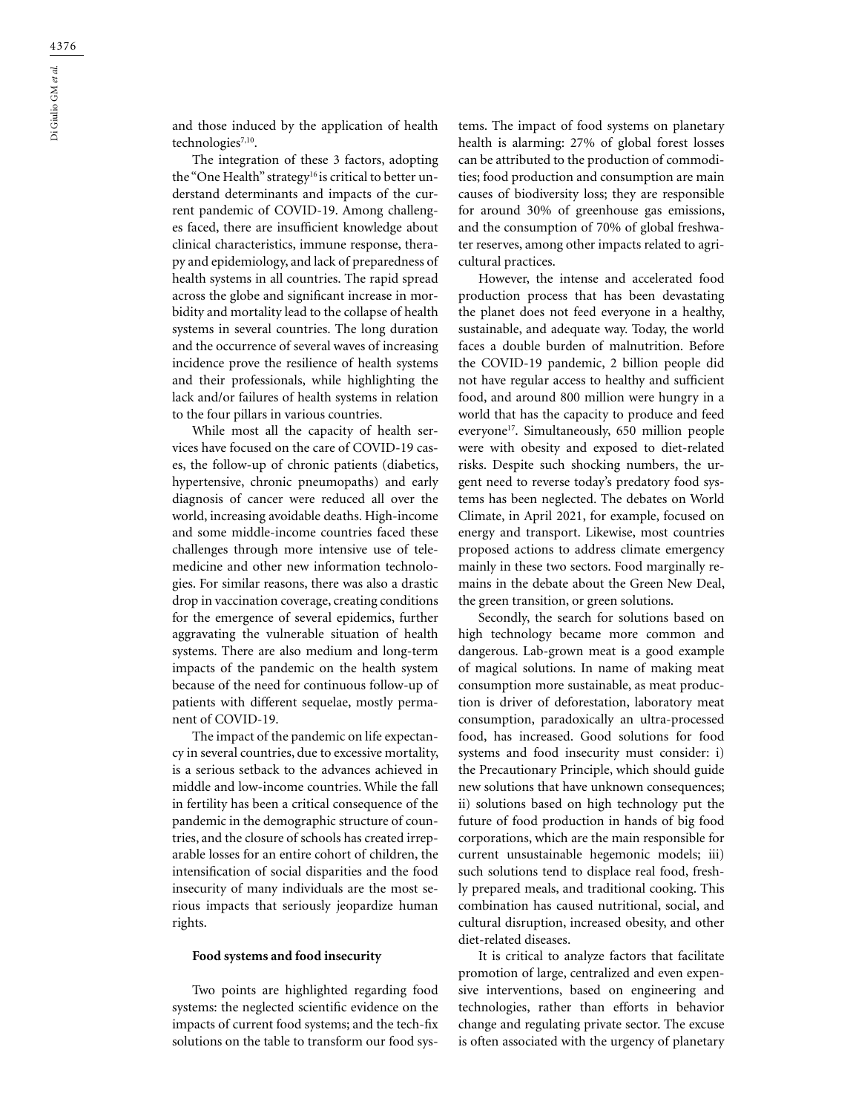and those induced by the application of health technologies<sup>7,10</sup>.

The integration of these 3 factors, adopting the "One Health" strategy<sup>16</sup> is critical to better understand determinants and impacts of the current pandemic of COVID-19. Among challenges faced, there are insufficient knowledge about clinical characteristics, immune response, therapy and epidemiology, and lack of preparedness of health systems in all countries. The rapid spread across the globe and significant increase in morbidity and mortality lead to the collapse of health systems in several countries. The long duration and the occurrence of several waves of increasing incidence prove the resilience of health systems and their professionals, while highlighting the lack and/or failures of health systems in relation to the four pillars in various countries.

While most all the capacity of health services have focused on the care of COVID-19 cases, the follow-up of chronic patients (diabetics, hypertensive, chronic pneumopaths) and early diagnosis of cancer were reduced all over the world, increasing avoidable deaths. High-income and some middle-income countries faced these challenges through more intensive use of telemedicine and other new information technologies. For similar reasons, there was also a drastic drop in vaccination coverage, creating conditions for the emergence of several epidemics, further aggravating the vulnerable situation of health systems. There are also medium and long-term impacts of the pandemic on the health system because of the need for continuous follow-up of patients with different sequelae, mostly permanent of COVID-19.

The impact of the pandemic on life expectancy in several countries, due to excessive mortality, is a serious setback to the advances achieved in middle and low-income countries. While the fall in fertility has been a critical consequence of the pandemic in the demographic structure of countries, and the closure of schools has created irreparable losses for an entire cohort of children, the intensification of social disparities and the food insecurity of many individuals are the most serious impacts that seriously jeopardize human rights.

### **Food systems and food insecurity**

Two points are highlighted regarding food systems: the neglected scientific evidence on the impacts of current food systems; and the tech-fix solutions on the table to transform our food systems. The impact of food systems on planetary health is alarming: 27% of global forest losses can be attributed to the production of commodities; food production and consumption are main causes of biodiversity loss; they are responsible for around 30% of greenhouse gas emissions, and the consumption of 70% of global freshwater reserves, among other impacts related to agricultural practices.

However, the intense and accelerated food production process that has been devastating the planet does not feed everyone in a healthy, sustainable, and adequate way. Today, the world faces a double burden of malnutrition. Before the COVID-19 pandemic, 2 billion people did not have regular access to healthy and sufficient food, and around 800 million were hungry in a world that has the capacity to produce and feed everyone<sup>17</sup>. Simultaneously, 650 million people were with obesity and exposed to diet-related risks. Despite such shocking numbers, the urgent need to reverse today's predatory food systems has been neglected. The debates on World Climate, in April 2021, for example, focused on energy and transport. Likewise, most countries proposed actions to address climate emergency mainly in these two sectors. Food marginally remains in the debate about the Green New Deal, the green transition, or green solutions.

Secondly, the search for solutions based on high technology became more common and dangerous. Lab-grown meat is a good example of magical solutions. In name of making meat consumption more sustainable, as meat production is driver of deforestation, laboratory meat consumption, paradoxically an ultra-processed food, has increased. Good solutions for food systems and food insecurity must consider: i) the Precautionary Principle, which should guide new solutions that have unknown consequences; ii) solutions based on high technology put the future of food production in hands of big food corporations, which are the main responsible for current unsustainable hegemonic models; iii) such solutions tend to displace real food, freshly prepared meals, and traditional cooking. This combination has caused nutritional, social, and cultural disruption, increased obesity, and other diet-related diseases.

It is critical to analyze factors that facilitate promotion of large, centralized and even expensive interventions, based on engineering and technologies, rather than efforts in behavior change and regulating private sector. The excuse is often associated with the urgency of planetary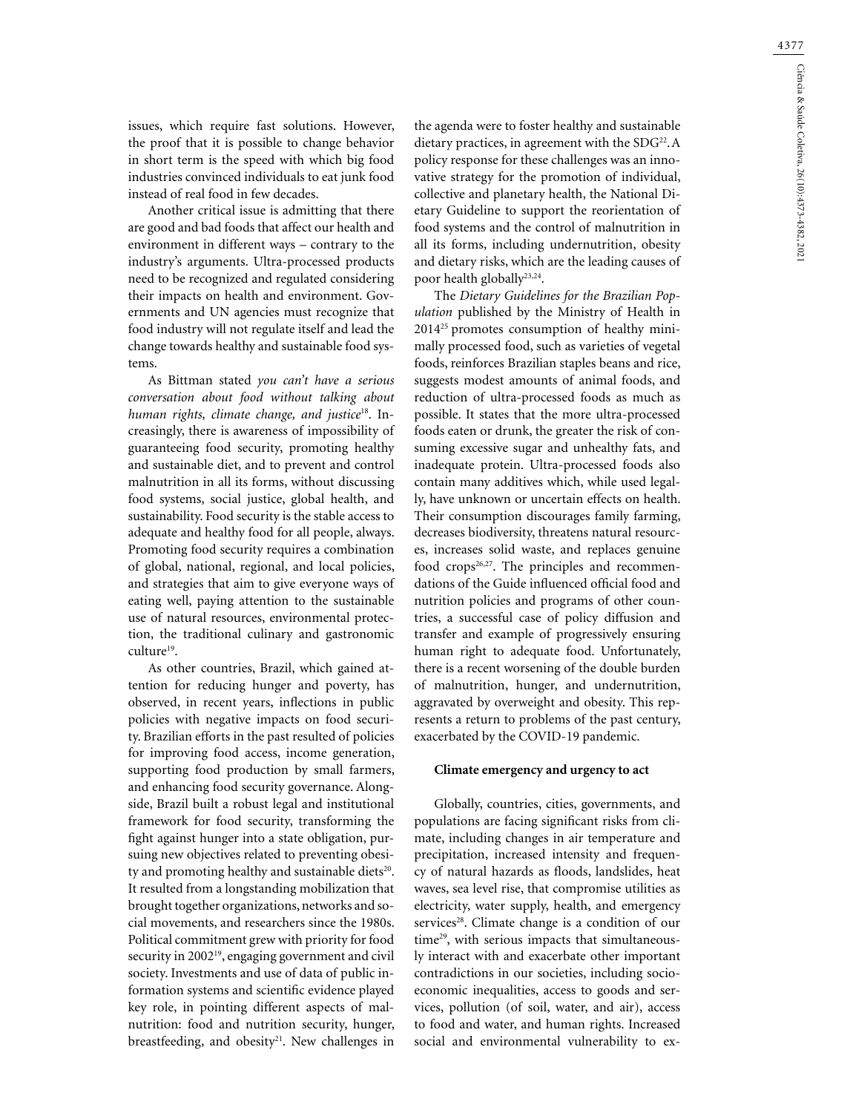issues, which require fast solutions. However, the proof that it is possible to change behavior in short term is the speed with which big food industries convinced individuals to eat junk food instead of real food in few decades.

Another critical issue is admitting that there are good and bad foods that affect our health and environment in different ways – contrary to the industry's arguments. Ultra-processed products need to be recognized and regulated considering their impacts on health and environment. Governments and UN agencies must recognize that food industry will not regulate itself and lead the change towards healthy and sustainable food systems.

As Bittman stated *you can't have a serious conversation about food without talking about human rights, climate change, and justice*18. Increasingly, there is awareness of impossibility of guaranteeing food security, promoting healthy and sustainable diet, and to prevent and control malnutrition in all its forms, without discussing food systems, social justice, global health, and sustainability. Food security is the stable access to adequate and healthy food for all people, always. Promoting food security requires a combination of global, national, regional, and local policies, and strategies that aim to give everyone ways of eating well, paying attention to the sustainable use of natural resources, environmental protection, the traditional culinary and gastronomic culture<sup>19</sup>.

As other countries, Brazil, which gained attention for reducing hunger and poverty, has observed, in recent years, inflections in public policies with negative impacts on food security. Brazilian efforts in the past resulted of policies for improving food access, income generation, supporting food production by small farmers, and enhancing food security governance. Alongside, Brazil built a robust legal and institutional framework for food security, transforming the fight against hunger into a state obligation, pursuing new objectives related to preventing obesity and promoting healthy and sustainable diets<sup>20</sup>. It resulted from a longstanding mobilization that brought together organizations, networks and social movements, and researchers since the 1980s. Political commitment grew with priority for food security in 2002<sup>19</sup>, engaging government and civil society. Investments and use of data of public information systems and scientific evidence played key role, in pointing different aspects of malnutrition: food and nutrition security, hunger, breastfeeding, and obesity $21$ . New challenges in

the agenda were to foster healthy and sustainable dietary practices, in agreement with the SDG<sup>22</sup>.A policy response for these challenges was an innovative strategy for the promotion of individual, collective and planetary health, the National Dietary Guideline to support the reorientation of food systems and the control of malnutrition in all its forms, including undernutrition, obesity and dietary risks, which are the leading causes of poor health globally<sup>23,24</sup>.

The *Dietary Guidelines for the Brazilian Population* published by the Ministry of Health in 201425 promotes consumption of healthy minimally processed food, such as varieties of vegetal foods, reinforces Brazilian staples beans and rice, suggests modest amounts of animal foods, and reduction of ultra-processed foods as much as possible. It states that the more ultra-processed foods eaten or drunk, the greater the risk of consuming excessive sugar and unhealthy fats, and inadequate protein. Ultra-processed foods also contain many additives which, while used legally, have unknown or uncertain effects on health. Their consumption discourages family farming, decreases biodiversity, threatens natural resources, increases solid waste, and replaces genuine food crops<sup>26,27</sup>. The principles and recommendations of the Guide influenced official food and nutrition policies and programs of other countries, a successful case of policy diffusion and transfer and example of progressively ensuring human right to adequate food. Unfortunately, there is a recent worsening of the double burden of malnutrition, hunger, and undernutrition, aggravated by overweight and obesity. This represents a return to problems of the past century, exacerbated by the COVID-19 pandemic.

### **Climate emergency and urgency to act**

Globally, countries, cities, governments, and populations are facing significant risks from climate, including changes in air temperature and precipitation, increased intensity and frequency of natural hazards as floods, landslides, heat waves, sea level rise, that compromise utilities as electricity, water supply, health, and emergency services<sup>28</sup>. Climate change is a condition of our time<sup>29</sup>, with serious impacts that simultaneously interact with and exacerbate other important contradictions in our societies, including socioeconomic inequalities, access to goods and services, pollution (of soil, water, and air), access to food and water, and human rights. Increased social and environmental vulnerability to ex-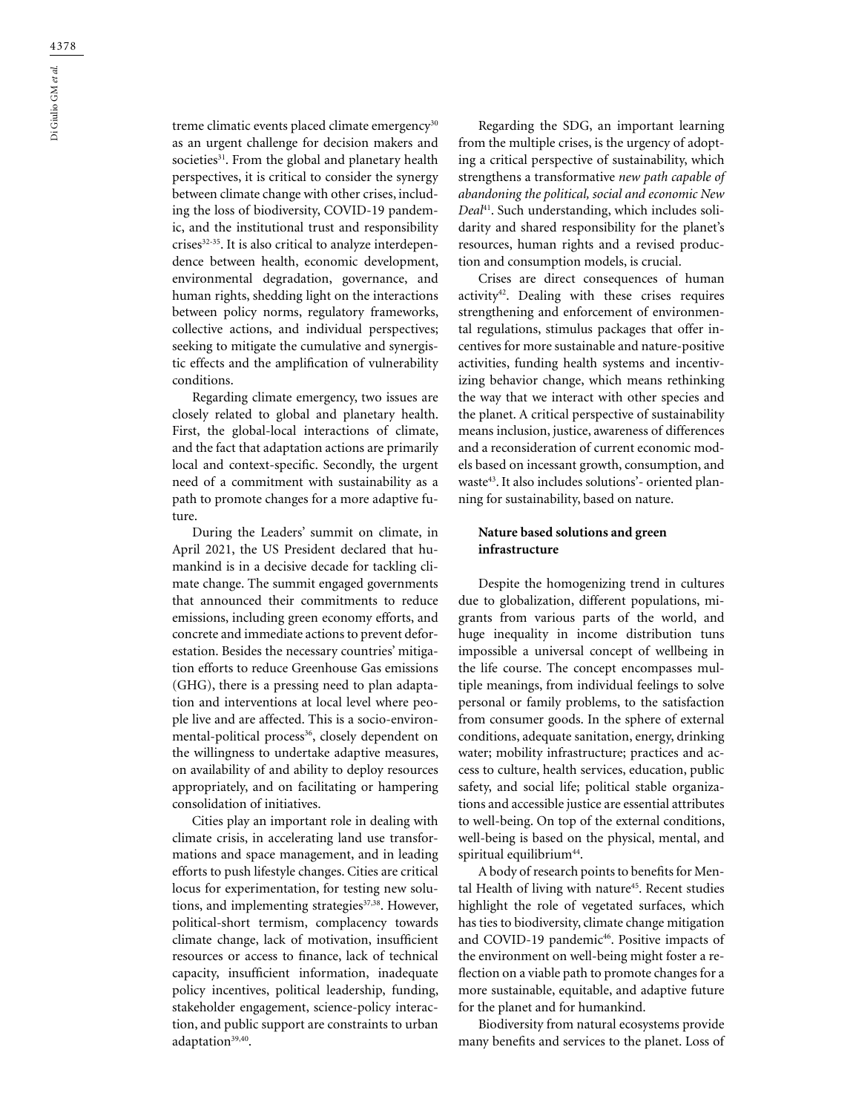treme climatic events placed climate emergency<sup>30</sup> as an urgent challenge for decision makers and societies<sup>31</sup>. From the global and planetary health perspectives, it is critical to consider the synergy between climate change with other crises, including the loss of biodiversity, COVID-19 pandemic, and the institutional trust and responsibility crises<sup>32-35</sup>. It is also critical to analyze interdependence between health, economic development, environmental degradation, governance, and human rights, shedding light on the interactions between policy norms, regulatory frameworks, collective actions, and individual perspectives; seeking to mitigate the cumulative and synergistic effects and the amplification of vulnerability conditions.

Regarding climate emergency, two issues are closely related to global and planetary health. First, the global-local interactions of climate, and the fact that adaptation actions are primarily local and context-specific. Secondly, the urgent need of a commitment with sustainability as a path to promote changes for a more adaptive future.

During the Leaders' summit on climate, in April 2021, the US President declared that humankind is in a decisive decade for tackling climate change. The summit engaged governments that announced their commitments to reduce emissions, including green economy efforts, and concrete and immediate actions to prevent deforestation. Besides the necessary countries' mitigation efforts to reduce Greenhouse Gas emissions (GHG), there is a pressing need to plan adaptation and interventions at local level where people live and are affected. This is a socio-environmental-political process<sup>36</sup>, closely dependent on the willingness to undertake adaptive measures, on availability of and ability to deploy resources appropriately, and on facilitating or hampering consolidation of initiatives.

Cities play an important role in dealing with climate crisis, in accelerating land use transformations and space management, and in leading efforts to push lifestyle changes. Cities are critical locus for experimentation, for testing new solutions, and implementing strategies $37,38$ . However, political-short termism, complacency towards climate change, lack of motivation, insufficient resources or access to finance, lack of technical capacity, insufficient information, inadequate policy incentives, political leadership, funding, stakeholder engagement, science-policy interaction, and public support are constraints to urban adaptation<sup>39,40</sup>.

Regarding the SDG, an important learning from the multiple crises, is the urgency of adopting a critical perspective of sustainability, which strengthens a transformative *new path capable of abandoning the political, social and economic New Deal*41. Such understanding, which includes solidarity and shared responsibility for the planet's resources, human rights and a revised production and consumption models, is crucial.

Crises are direct consequences of human activity<sup>42</sup>. Dealing with these crises requires strengthening and enforcement of environmental regulations, stimulus packages that offer incentives for more sustainable and nature-positive activities, funding health systems and incentivizing behavior change, which means rethinking the way that we interact with other species and the planet. A critical perspective of sustainability means inclusion, justice, awareness of differences and a reconsideration of current economic models based on incessant growth, consumption, and waste43. It also includes solutions'- oriented planning for sustainability, based on nature.

# **Nature based solutions and green infrastructure**

Despite the homogenizing trend in cultures due to globalization, different populations, migrants from various parts of the world, and huge inequality in income distribution tuns impossible a universal concept of wellbeing in the life course. The concept encompasses multiple meanings, from individual feelings to solve personal or family problems, to the satisfaction from consumer goods. In the sphere of external conditions, adequate sanitation, energy, drinking water; mobility infrastructure; practices and access to culture, health services, education, public safety, and social life; political stable organizations and accessible justice are essential attributes to well-being. On top of the external conditions, well-being is based on the physical, mental, and spiritual equilibrium<sup>44</sup>.

A body of research points to benefits for Mental Health of living with nature<sup>45</sup>. Recent studies highlight the role of vegetated surfaces, which has ties to biodiversity, climate change mitigation and COVID-19 pandemic<sup>46</sup>. Positive impacts of the environment on well-being might foster a reflection on a viable path to promote changes for a more sustainable, equitable, and adaptive future for the planet and for humankind.

Biodiversity from natural ecosystems provide many benefits and services to the planet. Loss of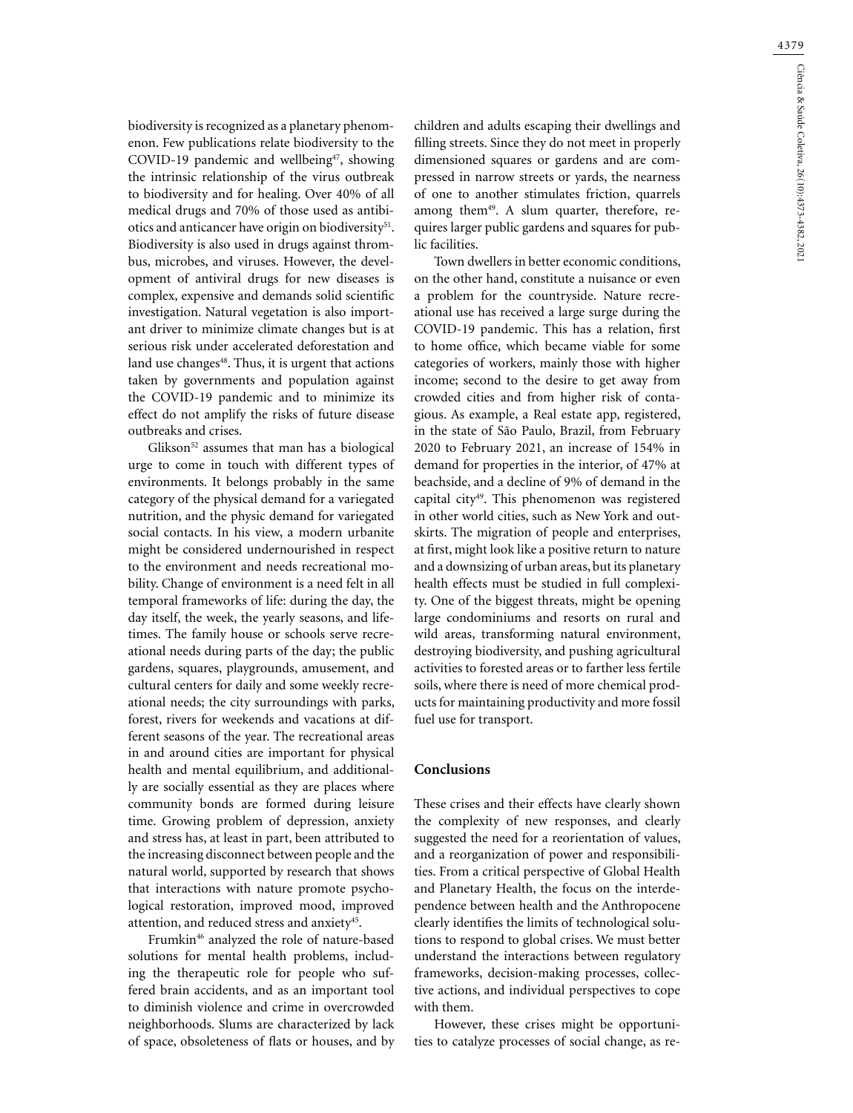4379

biodiversity is recognized as a planetary phenomenon. Few publications relate biodiversity to the COVID-19 pandemic and wellbeing<sup>47</sup>, showing the intrinsic relationship of the virus outbreak to biodiversity and for healing. Over 40% of all medical drugs and 70% of those used as antibiotics and anticancer have origin on biodiversity<sup>51</sup>. Biodiversity is also used in drugs against thrombus, microbes, and viruses. However, the development of antiviral drugs for new diseases is complex, expensive and demands solid scientific investigation. Natural vegetation is also important driver to minimize climate changes but is at serious risk under accelerated deforestation and land use changes<sup>48</sup>. Thus, it is urgent that actions taken by governments and population against the COVID-19 pandemic and to minimize its effect do not amplify the risks of future disease outbreaks and crises.

Glikson<sup>52</sup> assumes that man has a biological urge to come in touch with different types of environments. It belongs probably in the same category of the physical demand for a variegated nutrition, and the physic demand for variegated social contacts. In his view, a modern urbanite might be considered undernourished in respect to the environment and needs recreational mobility. Change of environment is a need felt in all temporal frameworks of life: during the day, the day itself, the week, the yearly seasons, and lifetimes. The family house or schools serve recreational needs during parts of the day; the public gardens, squares, playgrounds, amusement, and cultural centers for daily and some weekly recreational needs; the city surroundings with parks, forest, rivers for weekends and vacations at different seasons of the year. The recreational areas in and around cities are important for physical health and mental equilibrium, and additionally are socially essential as they are places where community bonds are formed during leisure time. Growing problem of depression, anxiety and stress has, at least in part, been attributed to the increasing disconnect between people and the natural world, supported by research that shows that interactions with nature promote psychological restoration, improved mood, improved attention, and reduced stress and anxiety<sup>45</sup>.

Frumkin<sup>46</sup> analyzed the role of nature-based solutions for mental health problems, including the therapeutic role for people who suffered brain accidents, and as an important tool to diminish violence and crime in overcrowded neighborhoods. Slums are characterized by lack of space, obsoleteness of flats or houses, and by children and adults escaping their dwellings and filling streets. Since they do not meet in properly dimensioned squares or gardens and are compressed in narrow streets or yards, the nearness of one to another stimulates friction, quarrels among them<sup>49</sup>. A slum quarter, therefore, requires larger public gardens and squares for public facilities.

Town dwellers in better economic conditions, on the other hand, constitute a nuisance or even a problem for the countryside. Nature recreational use has received a large surge during the COVID-19 pandemic. This has a relation, first to home office, which became viable for some categories of workers, mainly those with higher income; second to the desire to get away from crowded cities and from higher risk of contagious. As example, a Real estate app, registered, in the state of São Paulo, Brazil, from February 2020 to February 2021, an increase of 154% in demand for properties in the interior, of 47% at beachside, and a decline of 9% of demand in the capital city49. This phenomenon was registered in other world cities, such as New York and outskirts. The migration of people and enterprises, at first, might look like a positive return to nature and a downsizing of urban areas, but its planetary health effects must be studied in full complexity. One of the biggest threats, might be opening large condominiums and resorts on rural and wild areas, transforming natural environment, destroying biodiversity, and pushing agricultural activities to forested areas or to farther less fertile soils, where there is need of more chemical products for maintaining productivity and more fossil fuel use for transport.

# **Conclusions**

These crises and their effects have clearly shown the complexity of new responses, and clearly suggested the need for a reorientation of values, and a reorganization of power and responsibilities. From a critical perspective of Global Health and Planetary Health, the focus on the interdependence between health and the Anthropocene clearly identifies the limits of technological solutions to respond to global crises. We must better understand the interactions between regulatory frameworks, decision-making processes, collective actions, and individual perspectives to cope with them.

However, these crises might be opportunities to catalyze processes of social change, as re-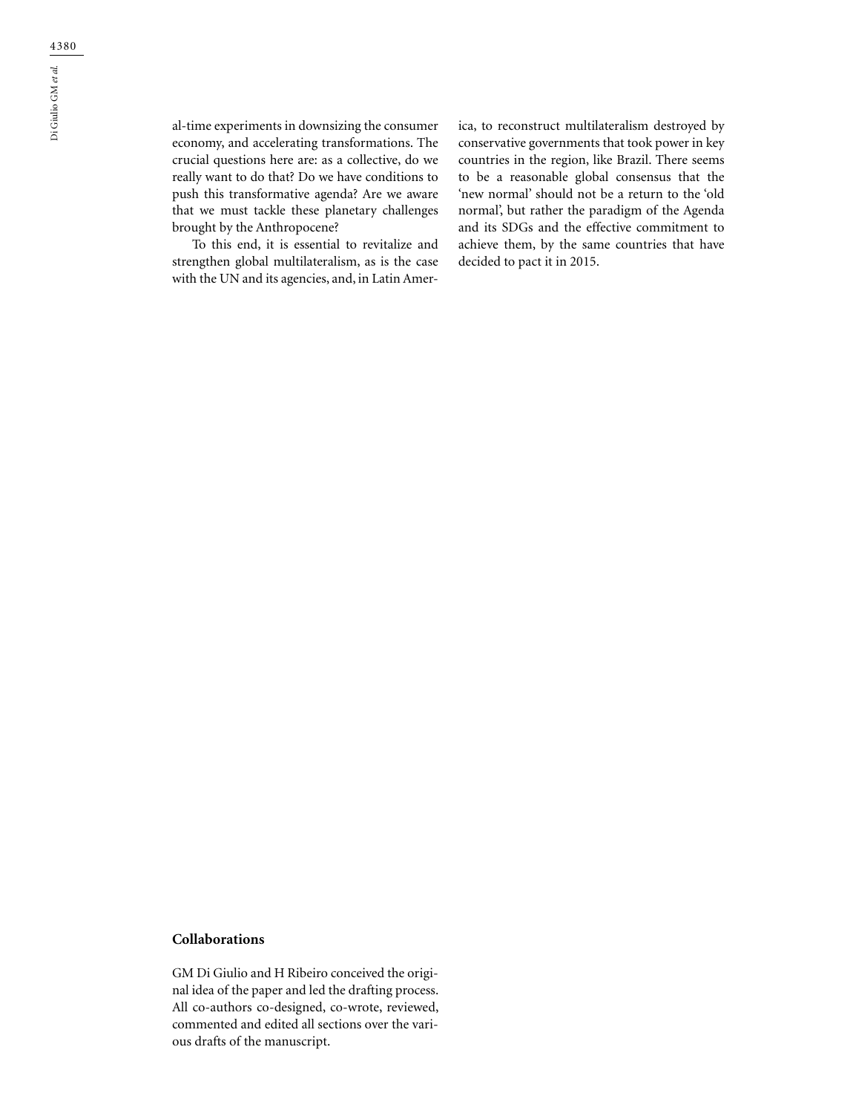al-time experiments in downsizing the consumer economy, and accelerating transformations. The crucial questions here are: as a collective, do we really want to do that? Do we have conditions to push this transformative agenda? Are we aware that we must tackle these planetary challenges brought by the Anthropocene?

To this end, it is essential to revitalize and strengthen global multilateralism, as is the case with the UN and its agencies, and, in Latin America, to reconstruct multilateralism destroyed by conservative governments that took power in key countries in the region, like Brazil. There seems to be a reasonable global consensus that the 'new normal' should not be a return to the 'old normal', but rather the paradigm of the Agenda and its SDGs and the effective commitment to achieve them, by the same countries that have decided to pact it in 2015.

## **Collaborations**

GM Di Giulio and H Ribeiro conceived the original idea of the paper and led the drafting process. All co-authors co-designed, co-wrote, reviewed, commented and edited all sections over the various drafts of the manuscript.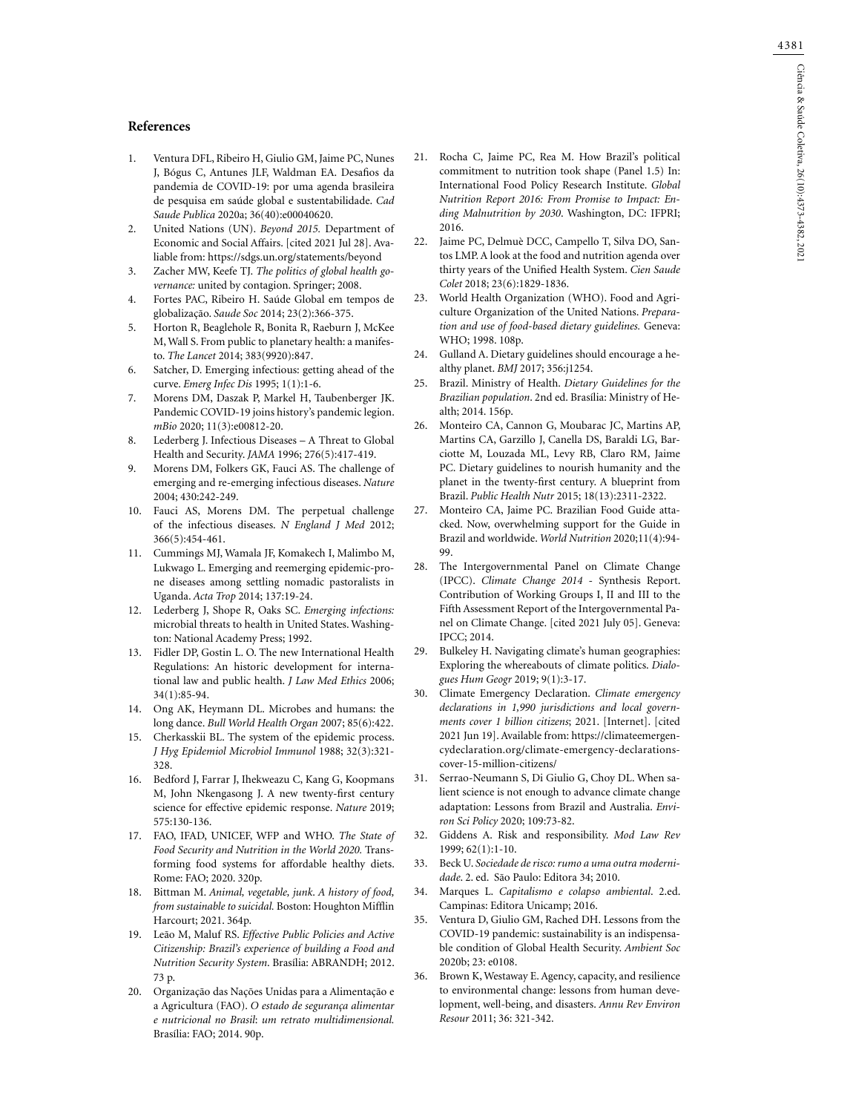## **References**

- 1. Ventura DFL, Ribeiro H, Giulio GM, Jaime PC, Nunes J, Bógus C, Antunes JLF, Waldman EA. Desafios da pandemia de COVID-19: por uma agenda brasileira de pesquisa em saúde global e sustentabilidade. *Cad Saude Publica* 2020a; 36(40):e00040620.
- 2. United Nations (UN). *Beyond 2015.* Department of Economic and Social Affairs. [cited 2021 Jul 28]. Avaliable from:<https://sdgs.un.org/statements/beyond>
- 3. Zacher MW, Keefe TJ. *The politics of global health governance:* united by contagion. Springer; 2008.
- 4. Fortes PAC, Ribeiro H. Saúde Global em tempos de globalização. *Saude Soc* 2014; 23(2):366-375.
- 5. Horton R, Beaglehole R, Bonita R, Raeburn J, McKee M, Wall S. From public to planetary health: a manifesto. *The Lancet* 2014; 383(9920):847.
- 6. Satcher, D. Emerging infectious: getting ahead of the curve. *Emerg Infec Dis* 1995; 1(1):1-6.
- 7. Morens DM, Daszak P, Markel H, Taubenberger JK. Pandemic COVID-19 joins history's pandemic legion. *mBio* 2020; 11(3):e00812-20.
- 8. Lederberg J. Infectious Diseases A Threat to Global Health and Security. *JAMA* 1996; 276(5):417-419.
- 9. Morens DM, Folkers GK, Fauci AS. The challenge of emerging and re-emerging infectious diseases. *Nature* 2004; 430:242-249.
- 10. Fauci AS, Morens DM. The perpetual challenge of the infectious diseases. *N England J Med* 2012; 366(5):454-461.
- 11. Cummings MJ, Wamala JF, Komakech I, Malimbo M, Lukwago L. Emerging and reemerging epidemic-prone diseases among settling nomadic pastoralists in Uganda. *Acta Trop* 2014; 137:19-24.
- 12. Lederberg J, Shope R, Oaks SC. *Emerging infections:*  microbial threats to health in United States. Washington: National Academy Press; 1992.
- 13. Fidler DP, Gostin L. O. The new International Health Regulations: An historic development for international law and public health. *J Law Med Ethics* 2006; 34(1):85-94.
- 14. Ong AK, Heymann DL. Microbes and humans: the long dance. *Bull World Health Organ* 2007; 85(6):422.
- 15. Cherkasskii BL. The system of the epidemic process. *J Hyg Epidemiol Microbiol Immunol* 1988; 32(3):321- 328.
- 16. Bedford J, Farrar J, Ihekweazu C, Kang G, Koopmans M, John Nkengasong J. A new twenty-first century science for effective epidemic response. *Nature* 2019; 575:130-136.
- 17. FAO, IFAD, UNICEF, WFP and WHO. *The State of Food Security and Nutrition in the World 2020.* Transforming food systems for affordable healthy diets. Rome: FAO; 2020. 320p.
- 18. Bittman M. *Animal, vegetable, junk*. *A history of food, from sustainable to suicidal.* Boston: Houghton Mifflin Harcourt; 2021. 364p.
- 19. Leão M, Maluf RS. *Effective Public Policies and Active Citizenship: Brazil's experience of building a Food and Nutrition Security System*. Brasília: ABRANDH; 2012. 73 p.
- 20. Organização das Nações Unidas para a Alimentação e a Agricultura (FAO). *O estado de segurança alimentar e nutricional no Brasil*: *um retrato multidimensional.*  Brasília: FAO; 2014. 90p.
- 21. Rocha C, Jaime PC, Rea M. How Brazil's political commitment to nutrition took shape (Panel 1.5) In: International Food Policy Research Institute. *Global Nutrition Report 2016: From Promise to Impact: Ending Malnutrition by 2030*. Washington, DC: IFPRI; 2016.
- 22. Jaime PC, Delmuè DCC, Campello T, Silva DO, Santos LMP. A look at the food and nutrition agenda over thirty years of the Unified Health System. *Cien Saude Colet* 2018; 23(6):1829-1836.
- 23. World Health Organization (WHO). Food and Agriculture Organization of the United Nations. *Preparation and use of food-based dietary guidelines.* Geneva: WHO; 1998. 108p.
- 24. Gulland A. Dietary guidelines should encourage a healthy planet. *BMJ* 2017; 356:j1254.
- 25. Brazil. Ministry of Health. *Dietary Guidelines for the Brazilian population*. 2nd ed. Brasília: Ministry of Health; 2014. 156p.
- 26. Monteiro CA, Cannon G, Moubarac JC, Martins AP, Martins CA, Garzillo J, Canella DS, Baraldi LG, Barciotte M, Louzada ML, Levy RB, Claro RM, Jaime PC. Dietary guidelines to nourish humanity and the planet in the twenty-first century. A blueprint from Brazil. *Public Health Nutr* 2015; 18(13):2311-2322.
- 27. Monteiro CA, Jaime PC. Brazilian Food Guide attacked. Now, overwhelming support for the Guide in Brazil and worldwide. *World Nutrition* 2020;11(4):94- 99.
- 28. The Intergovernmental Panel on Climate Change (IPCC). *Climate Change 2014* - Synthesis Report. Contribution of Working Groups I, II and III to the Fifth Assessment Report of the Intergovernmental Panel on Climate Change. [cited 2021 July 05]. Geneva: IPCC; 2014.
- 29. Bulkeley H. Navigating climate's human geographies: Exploring the whereabouts of climate politics. *Dialogues Hum Geogr* 2019; 9(1):3-17.
- 30. Climate Emergency Declaration. *Climate emergency declarations in 1,990 jurisdictions and local governments cover 1 billion citizens*; 2021. [Internet]. [cited 2021 Jun 19]. Available from: https://climateemergencydeclaration.org/climate-emergency-declarationscover-15-million-citizens/
- 31. Serrao-Neumann S, Di Giulio G, Choy DL. When salient science is not enough to advance climate change adaptation: Lessons from Brazil and Australia. *Environ Sci Policy* 2020; 109:73-82.
- 32. Giddens A. Risk and responsibility. *Mod Law Rev* 1999; 62(1):1-10.
- 33. Beck U. *Sociedade de risco: rumo a uma outra modernidade*. 2. ed. São Paulo: Editora 34; 2010.
- 34. Marques L. *Capitalismo e colapso ambiental*. 2.ed. Campinas: Editora Unicamp; 2016.
- 35. Ventura D, Giulio GM, Rached DH. Lessons from the COVID-19 pandemic: sustainability is an indispensable condition of Global Health Security. *Ambient Soc* 2020b; 23: e0108.
- 36. Brown K, Westaway E. Agency, capacity, and resilience to environmental change: lessons from human development, well-being, and disasters. *Annu Rev Environ Resour* 2011; 36: 321-342.